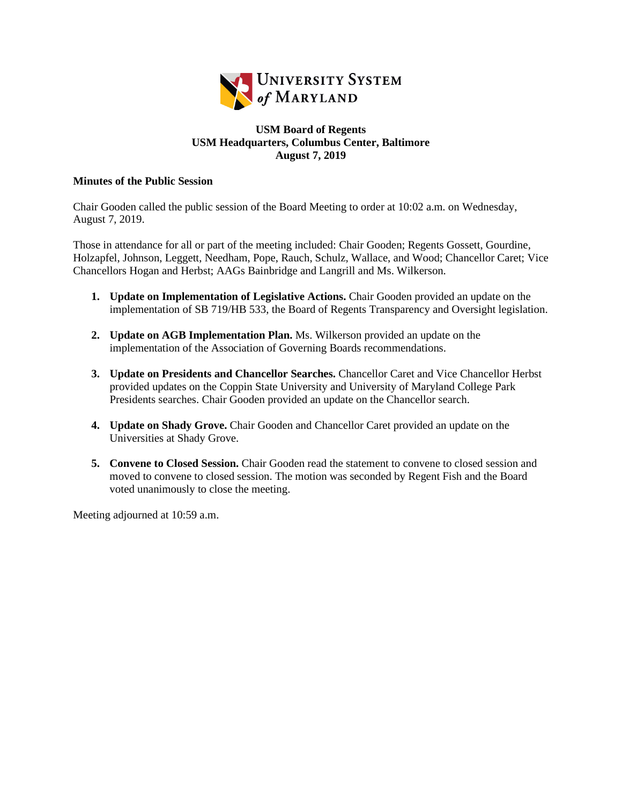

## **USM Board of Regents USM Headquarters, Columbus Center, Baltimore August 7, 2019**

## **Minutes of the Public Session**

Chair Gooden called the public session of the Board Meeting to order at 10:02 a.m. on Wednesday, August 7, 2019.

Those in attendance for all or part of the meeting included: Chair Gooden; Regents Gossett, Gourdine, Holzapfel, Johnson, Leggett, Needham, Pope, Rauch, Schulz, Wallace, and Wood; Chancellor Caret; Vice Chancellors Hogan and Herbst; AAGs Bainbridge and Langrill and Ms. Wilkerson.

- **1. Update on Implementation of Legislative Actions.** Chair Gooden provided an update on the implementation of SB 719/HB 533, the Board of Regents Transparency and Oversight legislation.
- **2. Update on AGB Implementation Plan.** Ms. Wilkerson provided an update on the implementation of the Association of Governing Boards recommendations.
- **3. Update on Presidents and Chancellor Searches.** Chancellor Caret and Vice Chancellor Herbst provided updates on the Coppin State University and University of Maryland College Park Presidents searches. Chair Gooden provided an update on the Chancellor search.
- **4. Update on Shady Grove.** Chair Gooden and Chancellor Caret provided an update on the Universities at Shady Grove.
- **5. Convene to Closed Session.** Chair Gooden read the statement to convene to closed session and moved to convene to closed session. The motion was seconded by Regent Fish and the Board voted unanimously to close the meeting.

Meeting adjourned at 10:59 a.m.